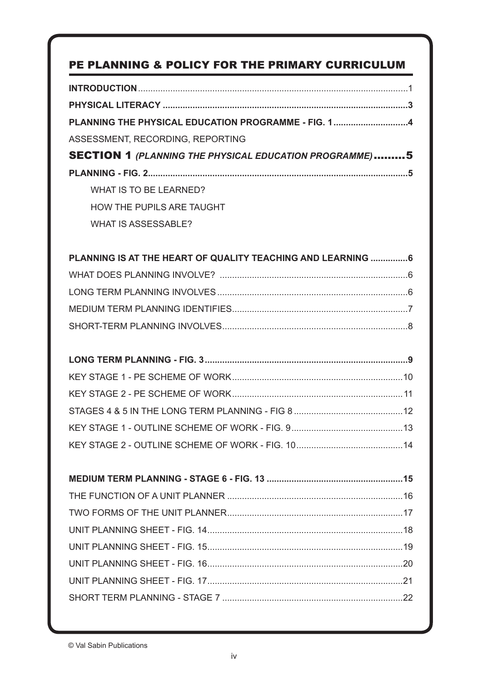### PE PLANNING & POLICY FOR THE PRIMARY CURRICULUM

| PLANNING THE PHYSICAL EDUCATION PROGRAMME - FIG. 14           |
|---------------------------------------------------------------|
| ASSESSMENT, RECORDING, REPORTING                              |
| <b>SECTION 1 (PLANNING THE PHYSICAL EDUCATION PROGRAMME)5</b> |
|                                                               |
| WHAT IS TO BE LEARNED?                                        |
| <b>HOW THE PUPILS ARE TAUGHT</b>                              |
| <b>WHAT IS ASSESSABLE?</b>                                    |
| PLANNING IS AT THE HEART OF QUALITY TEACHING AND LEARNING  6  |
|                                                               |
|                                                               |
|                                                               |
|                                                               |
|                                                               |
|                                                               |
|                                                               |
|                                                               |
|                                                               |
|                                                               |
|                                                               |
|                                                               |
|                                                               |
|                                                               |
|                                                               |
|                                                               |
|                                                               |
|                                                               |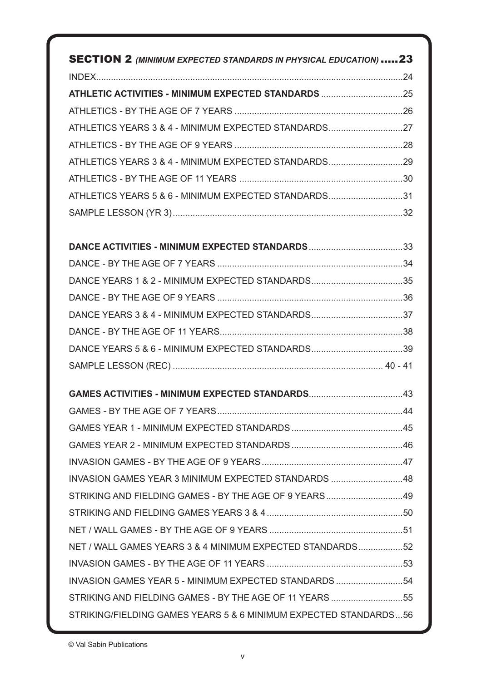| <b>SECTION 2 (MINIMUM EXPECTED STANDARDS IN PHYSICAL EDUCATION) 23</b> |  |
|------------------------------------------------------------------------|--|
|                                                                        |  |
| ATHLETIC ACTIVITIES - MINIMUM EXPECTED STANDARDS 25                    |  |
|                                                                        |  |
|                                                                        |  |
|                                                                        |  |
| ATHLETICS YEARS 3 & 4 - MINIMUM EXPECTED STANDARDS29                   |  |
|                                                                        |  |
| ATHLETICS YEARS 5 & 6 - MINIMUM EXPECTED STANDARDS31                   |  |
|                                                                        |  |
|                                                                        |  |
|                                                                        |  |
|                                                                        |  |
|                                                                        |  |
|                                                                        |  |
|                                                                        |  |
|                                                                        |  |
|                                                                        |  |
|                                                                        |  |
|                                                                        |  |
|                                                                        |  |
|                                                                        |  |
|                                                                        |  |
|                                                                        |  |
| INVASION GAMES YEAR 3 MINIMUM EXPECTED STANDARDS 48                    |  |
| STRIKING AND FIELDING GAMES - BY THE AGE OF 9 YEARS49                  |  |
|                                                                        |  |
|                                                                        |  |
| NET / WALL GAMES YEARS 3 & 4 MINIMUM EXPECTED STANDARDS52              |  |
|                                                                        |  |
| INVASION GAMES YEAR 5 - MINIMUM EXPECTED STANDARDS  54                 |  |
| STRIKING AND FIELDING GAMES - BY THE AGE OF 11 YEARS 55                |  |
|                                                                        |  |
| STRIKING/FIELDING GAMES YEARS 5 & 6 MINIMUM EXPECTED STANDARDS56       |  |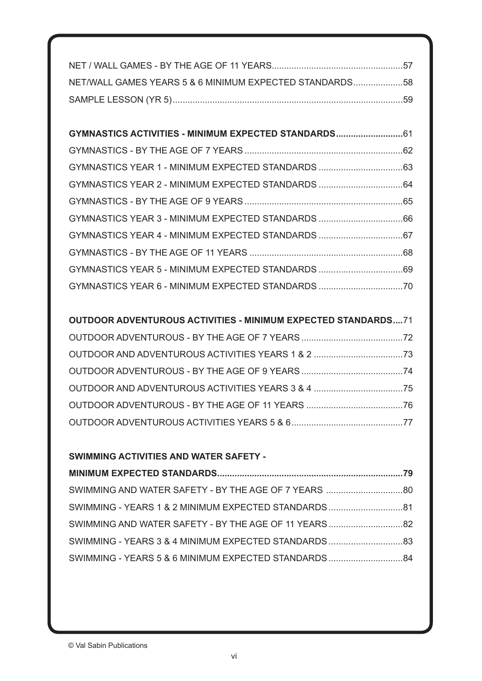| NET/WALL GAMES YEARS 5 & 6 MINIMUM EXPECTED STANDARDS58 |  |
|---------------------------------------------------------|--|
|                                                         |  |

| GYMNASTICS ACTIVITIES - MINIMUM EXPECTED STANDARDS61 |  |
|------------------------------------------------------|--|
|                                                      |  |
|                                                      |  |
| GYMNASTICS YEAR 2 - MINIMUM EXPECTED STANDARDS 64    |  |
|                                                      |  |
|                                                      |  |
|                                                      |  |
|                                                      |  |
|                                                      |  |
|                                                      |  |

### **OUTDOOR ADVENTUROUS ACTIVITIES - MINIMUM EXPECTED STANDARDS....**71

### **SWIMMING ACTIVITIES AND WATER SAFETY -**

| SWIMMING - YEARS 1 & 2 MINIMUM EXPECTED STANDARDS81   |
|-------------------------------------------------------|
| SWIMMING AND WATER SAFETY - BY THE AGE OF 11 YEARS 82 |
| SWIMMING - YEARS 3 & 4 MINIMUM EXPECTED STANDARDS83   |
| SWIMMING - YEARS 5 & 6 MINIMUM EXPECTED STANDARDS84   |
|                                                       |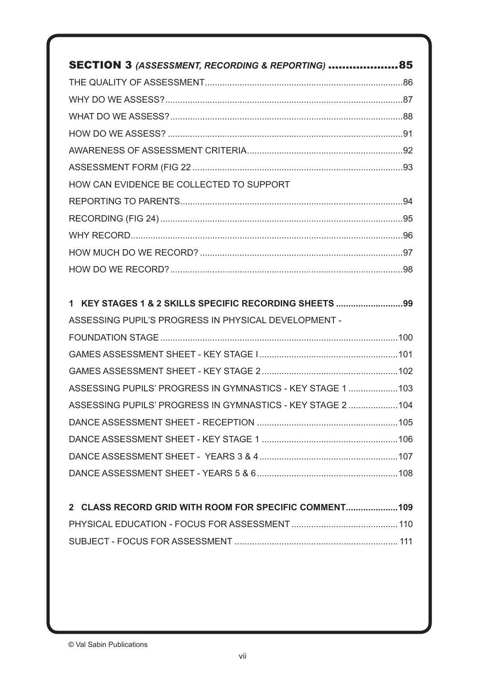| SECTION 3 (ASSESSMENT, RECORDING & REPORTING) 85            |
|-------------------------------------------------------------|
|                                                             |
|                                                             |
|                                                             |
|                                                             |
|                                                             |
|                                                             |
| HOW CAN EVIDENCE BE COLLECTED TO SUPPORT                    |
|                                                             |
|                                                             |
|                                                             |
|                                                             |
|                                                             |
|                                                             |
| 1 KEY STAGES 1 & 2 SKILLS SPECIFIC RECORDING SHEETS 99      |
|                                                             |
| ASSESSING PUPIL'S PROGRESS IN PHYSICAL DEVELOPMENT -        |
|                                                             |
|                                                             |
|                                                             |
| ASSESSING PUPILS' PROGRESS IN GYMNASTICS - KEY STAGE 1  103 |
| ASSESSING PUPILS' PROGRESS IN GYMNASTICS - KEY STAGE 2 104  |
|                                                             |
|                                                             |
|                                                             |
|                                                             |
|                                                             |
| 2 CLASS RECORD GRID WITH ROOM FOR SPECIFIC COMMENT109       |
|                                                             |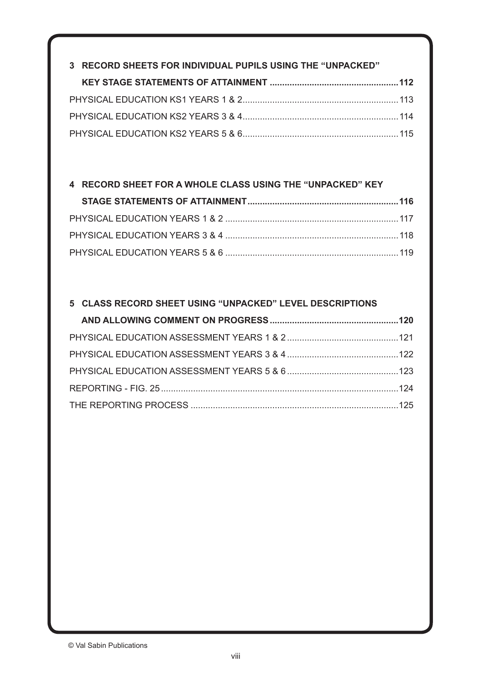| 3 RECORD SHEETS FOR INDIVIDUAL PUPILS USING THE "UNPACKED" |  |
|------------------------------------------------------------|--|
|                                                            |  |
|                                                            |  |
|                                                            |  |
|                                                            |  |

### **4 RECORD SHEET FOR A WHOLE CLASS USING THE "UNPACKED" KEY**

### **5 CLASS RECORD SHEET USING "UNPACKED" LEVEL DESCRIPTIONS**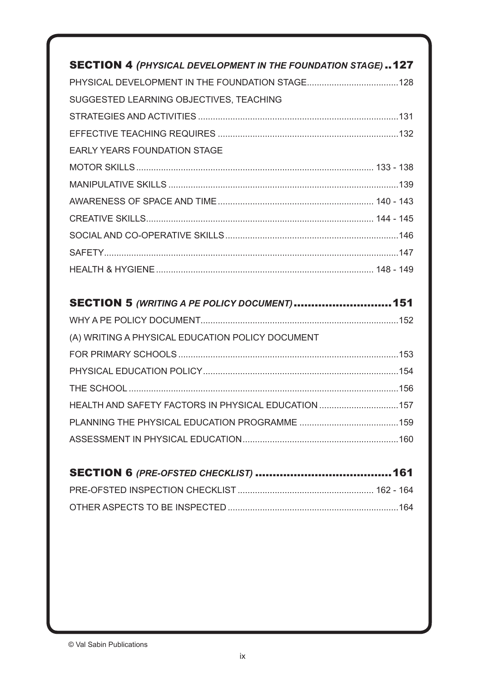| <b>SECTION 4 (PHYSICAL DEVELOPMENT IN THE FOUNDATION STAGE)127</b> |
|--------------------------------------------------------------------|
|                                                                    |
| SUGGESTED LEARNING OBJECTIVES, TEACHING                            |
|                                                                    |
|                                                                    |
| <b>EARLY YEARS FOUNDATION STAGE</b>                                |
|                                                                    |
|                                                                    |
|                                                                    |
|                                                                    |
|                                                                    |
|                                                                    |
|                                                                    |
|                                                                    |
| SECTION 5 (WRITING A PE POLICY DOCUMENT) 151                       |
|                                                                    |
| (A) WRITING A PHYSICAL EDUCATION POLICY DOCUMENT                   |
|                                                                    |
|                                                                    |
|                                                                    |
| HEALTH AND SAFETY FACTORS IN PHYSICAL EDUCATION 157                |
|                                                                    |
|                                                                    |
|                                                                    |
|                                                                    |

| $\bullet$ , $\bullet$ , $\bullet$ , $\bullet$ , $\bullet$ , $\bullet$ , $\bullet$ , $\bullet$ , $\bullet$ , $\bullet$ , $\bullet$ , $\bullet$ , $\bullet$ , $\bullet$ , $\bullet$ , $\bullet$ , $\bullet$ , $\bullet$ , $\bullet$ , $\bullet$ , $\bullet$ , $\bullet$ , $\bullet$ , $\bullet$ , $\bullet$ , $\bullet$ , $\bullet$ , $\bullet$ , $\bullet$ , $\bullet$ , $\bullet$ , $\bullet$ |  |
|-----------------------------------------------------------------------------------------------------------------------------------------------------------------------------------------------------------------------------------------------------------------------------------------------------------------------------------------------------------------------------------------------|--|
|                                                                                                                                                                                                                                                                                                                                                                                               |  |
|                                                                                                                                                                                                                                                                                                                                                                                               |  |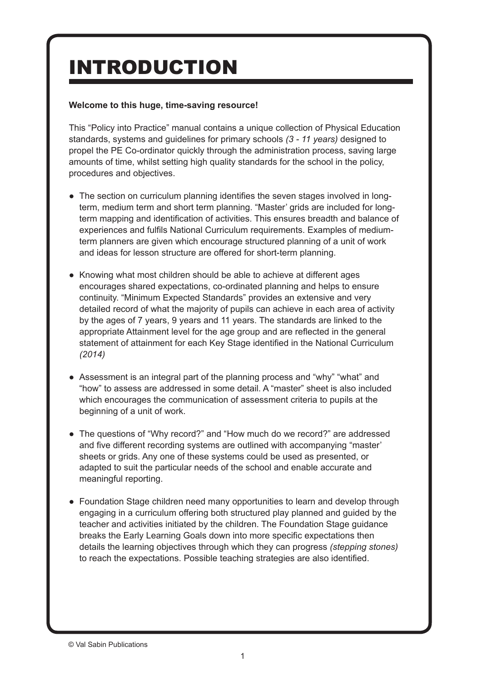# INTRODUCTION

### **Welcome to this huge, time-saving resource!**

This "Policy into Practice" manual contains a unique collection of Physical Education standards, systems and guidelines for primary schools *(3 - 11 years)* designed to propel the PE Co-ordinator quickly through the administration process, saving large amounts of time, whilst setting high quality standards for the school in the policy, procedures and objectives.

- The section on curriculum planning identifies the seven stages involved in longterm, medium term and short term planning. "Master' grids are included for longterm mapping and identification of activities. This ensures breadth and balance of experiences and fulfils National Curriculum requirements. Examples of mediumterm planners are given which encourage structured planning of a unit of work and ideas for lesson structure are offered for short-term planning.
- Knowing what most children should be able to achieve at different ages encourages shared expectations, co-ordinated planning and helps to ensure continuity. "Minimum Expected Standards" provides an extensive and very detailed record of what the majority of pupils can achieve in each area of activity by the ages of 7 years, 9 years and 11 years. The standards are linked to the appropriate Attainment level for the age group and are reflected in the general statement of attainment for each Key Stage identified in the National Curriculum *(2014)*
- Assessment is an integral part of the planning process and "why" "what" and "how" to assess are addressed in some detail. A "master" sheet is also included which encourages the communication of assessment criteria to pupils at the beginning of a unit of work.
- The questions of "Why record?" and "How much do we record?" are addressed and five different recording systems are outlined with accompanying "master' sheets or grids. Any one of these systems could be used as presented, or adapted to suit the particular needs of the school and enable accurate and meaningful reporting.
- Foundation Stage children need many opportunities to learn and develop through engaging in a curriculum offering both structured play planned and guided by the teacher and activities initiated by the children. The Foundation Stage guidance breaks the Early Learning Goals down into more specific expectations then details the learning objectives through which they can progress *(stepping stones)* to reach the expectations. Possible teaching strategies are also identified.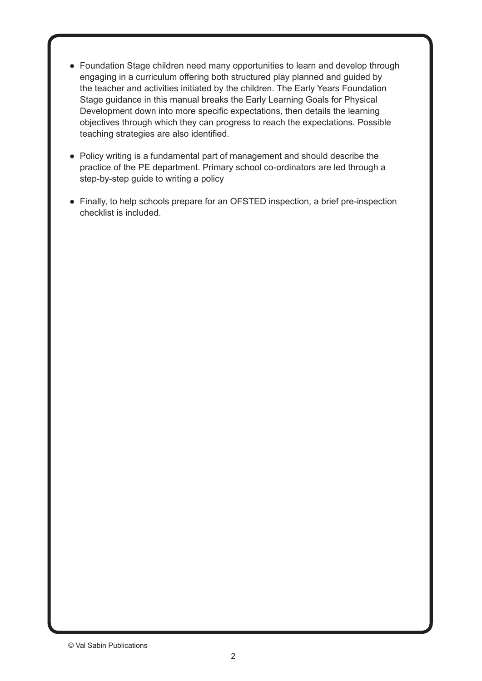- Foundation Stage children need many opportunities to learn and develop through engaging in a curriculum offering both structured play planned and guided by the teacher and activities initiated by the children. The Early Years Foundation Stage guidance in this manual breaks the Early Learning Goals for Physical Development down into more specific expectations, then details the learning objectives through which they can progress to reach the expectations. Possible teaching strategies are also identified.
- Policy writing is a fundamental part of management and should describe the practice of the PE department. Primary school co-ordinators are led through a step-by-step guide to writing a policy
- Finally, to help schools prepare for an OFSTED inspection, a brief pre-inspection checklist is included.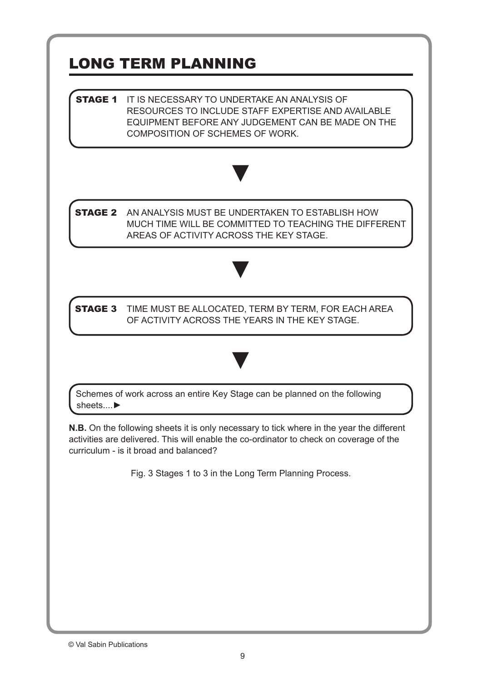# LONG TERM PLANNING

**STAGE 1** IT IS NECESSARY TO UNDERTAKE AN ANALYSIS OF RESOURCES TO INCLUDE STAFF EXPERTISE AND AVAILABLE EQUIPMENT BEFORE ANY JUDGEMENT CAN BE MADE ON THE COMPOSITION OF SCHEMES OF WORK.



**STAGE 2** AN ANALYSIS MUST BE UNDERTAKEN TO ESTABLISH HOW MUCH TIME WILL BE COMMITTED TO TEACHING THE DIFFERENT AREAS OF ACTIVITY ACROSS THE KEY STAGE.



**STAGE 3** TIME MUST BE ALLOCATED, TERM BY TERM, FOR EACH AREA OF ACTIVITY ACROSS THE YEARS IN THE KEY STAGE.

▼



**N.B.** On the following sheets it is only necessary to tick where in the year the different activities are delivered. This will enable the co-ordinator to check on coverage of the curriculum - is it broad and balanced?

Fig. 3 Stages 1 to 3 in the Long Term Planning Process.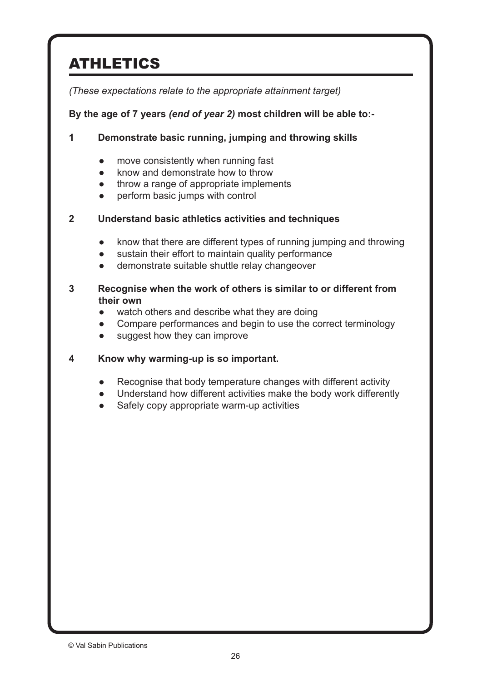# ATHLETICS

*(These expectations relate to the appropriate attainment target)*

### **By the age of 7 years** *(end of year 2)* **most children will be able to:-**

### **1 Demonstrate basic running, jumping and throwing skills**

- move consistently when running fast
- know and demonstrate how to throw
- throw a range of appropriate implements
- perform basic jumps with control

### **2 Understand basic athletics activities and techniques**

- know that there are different types of running jumping and throwing
- sustain their effort to maintain quality performance
- demonstrate suitable shuttle relay changeover

### **3 Recognise when the work of others is similar to or different from their own**

- watch others and describe what they are doing
- Compare performances and begin to use the correct terminology
- suggest how they can improve

### **4 Know why warming-up is so important.**

- Recognise that body temperature changes with different activity
- Understand how different activities make the body work differently
- Safely copy appropriate warm-up activities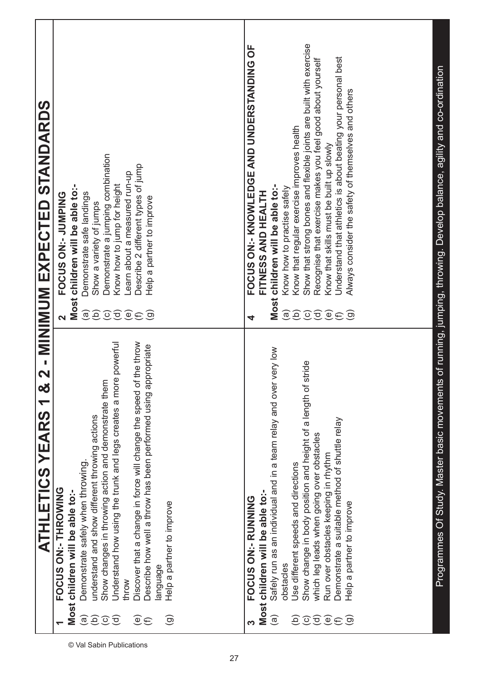| STANDARDS                                     |                                                                                                                                                                                                                                                                                                                                                                                                                                                                                                                                                                          |                                                                                                                                                                                                                                                                                                                                                                                                                                                                                                                                                                                                                                                                     |
|-----------------------------------------------|--------------------------------------------------------------------------------------------------------------------------------------------------------------------------------------------------------------------------------------------------------------------------------------------------------------------------------------------------------------------------------------------------------------------------------------------------------------------------------------------------------------------------------------------------------------------------|---------------------------------------------------------------------------------------------------------------------------------------------------------------------------------------------------------------------------------------------------------------------------------------------------------------------------------------------------------------------------------------------------------------------------------------------------------------------------------------------------------------------------------------------------------------------------------------------------------------------------------------------------------------------|
|                                               | Demonstrate a jumping combination<br>Describe 2 different types of jump<br>-earn about a measured run-up<br>Know how to jump for height<br>Most children will be able to:-<br>Demonstrate safe landings<br><b>ONLENDS: 20 SOUOL</b><br>Help a partner to improve<br>Show a variety of jumps                                                                                                                                                                                                                                                                              | Show that strong bones and flexible joints are built with exercise<br>FOCUS ON:- KNOWLEDGE AND UNDERSTANDING OF<br>Understand that athletics is about beating your personal best<br>Recognise that exercise makes you feel good about yourself<br>Always consider the safety of themselves and others<br>Know that regular exercise improves health<br>Know that skills must be built up slowly<br>children will be able to:-<br>Know how to practise safely<br><b>FITNESS AND HEALTH</b>                                                                                                                                                                           |
| 2 - MINIMUM EXPECTED                          | $\widehat{e}$<br>$\widehat{\mathfrak{G}}$<br>$\odot$<br><u>ਰ</u><br>$\widehat{\mathbb{C}}$<br>ම<br>$\widehat{\epsilon}$                                                                                                                                                                                                                                                                                                                                                                                                                                                  | Most<br>$\widehat{a}$<br>$\widehat{e}$<br>$\odot$<br>ਹੁ<br>$\widehat{\mathcal{Q}}$<br>$\circledcirc$<br>$\bigoplus$<br>4                                                                                                                                                                                                                                                                                                                                                                                                                                                                                                                                            |
| න්<br>$\blacktriangledown$<br>ATHLETICS YEARS | Understand how using the trunk and legs creates a more powerful<br>the throw<br>propriate<br>Show changes in throwing action and demonstrate them<br>Discover that a change in force will change the speed of<br>Describe how well a throw has been performed using ap<br>understand and show different throwing actions<br>Demonstrate safely when throwing.<br>FOCUS ON:- THROWING<br>Most children will be able to:-<br>Help a partner to improve<br>anguage<br>throw<br>$\widehat{\sigma}$<br>$\widehat{\Theta}$<br>$\widehat{e}$<br>ЭÓ<br>$\odot$<br>ලි<br>$\oplus$ | Programmes Of Study. Master basic movements of running, jumping, throwing. Develop balance, agility and co-ordination<br>very low<br>Show change in body position and height of a length of stride<br>Safely run as an individual and in a team relay and over<br>Demonstrate a suitable method of shuttle relay<br>which leg leads when going over obstacles<br>Run over obstacles keeping in rhythm<br>Use different speeds and directions<br>Most children will be able to:-<br><b>FOCUS ON:- RUNNING</b><br>Help a partner to improve<br>obstacles<br>ලි<br>$\widehat{\sigma}$<br>ව<br>$\widehat{\mathbb{e}}$<br>ම<br>$\widehat{\circ}$<br>$\widehat{\epsilon}$ |

© Val Sabin Publications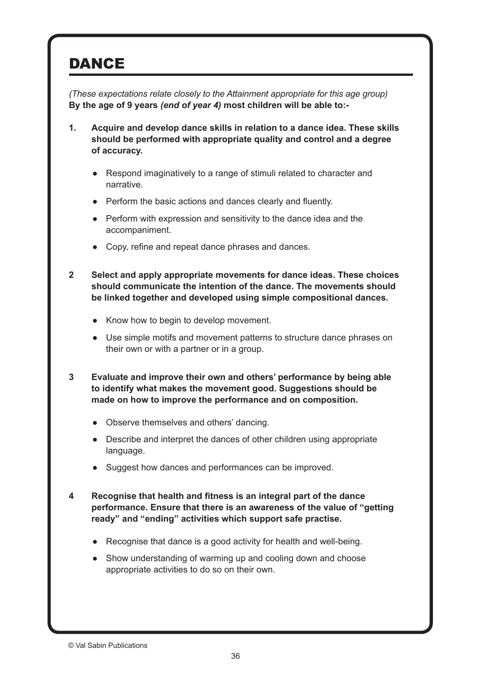## **DANCE**

*(These expectations relate closely to the Attainment appropriate for this age group)* **By the age of 9 years** *(end of year 4)* **most children will be able to:-**

- **1. Acquire and develop dance skills in relation to a dance idea. These skills should be performed with appropriate quality and control and a degree of accuracy.**
	- Respond imaginatively to a range of stimuli related to character and narrative.
	- Perform the basic actions and dances clearly and fluently.
	- Perform with expression and sensitivity to the dance idea and the accompaniment.
	- Copy, refine and repeat dance phrases and dances.
- **2 Select and apply appropriate movements for dance ideas. These choices should communicate the intention of the dance. The movements should be linked together and developed using simple compositional dances.**
	- Know how to begin to develop movement.
	- Use simple motifs and movement patterns to structure dance phrases on their own or with a partner or in a group.
- **3 Evaluate and improve their own and others' performance by being able to identify what makes the movement good. Suggestions should be made on how to improve the performance and on composition.**
	- Observe themselves and others' dancing.
	- Describe and interpret the dances of other children using appropriate language.
	- Suggest how dances and performances can be improved.
- **4 Recognise that health and fitness is an integral part of the dance performance. Ensure that there is an awareness of the value of "getting ready" and "ending" activities which support safe practise.**
	- Recognise that dance is a good activity for health and well-being.
	- Show understanding of warming up and cooling down and choose appropriate activities to do so on their own.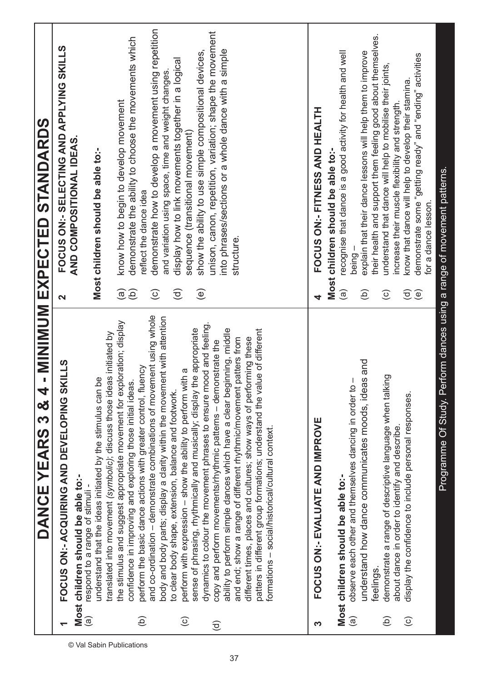|                        | DANCE YEARS 3 & 4                                                                                                                     |                        | - MINUM EXPECTED STANDARDS                                                              |
|------------------------|---------------------------------------------------------------------------------------------------------------------------------------|------------------------|-----------------------------------------------------------------------------------------|
|                        | FOCUS ON:- ACQUIRING AND DEVELOPING SKILLS                                                                                            | $\mathbf{\Omega}$      | FOCUS ON: - SELECTING AND APPLYING SKILLS                                               |
| $\widehat{\mathbf{e}}$ | Most children should be able to:-<br>respond to a range of stimuli -                                                                  |                        | AND COMPOSITIONAL IDEAS.                                                                |
|                        | translated into movement (symbolic); discuss those ideas initiated by<br>understand that the ideas initiated by the stimulus can be   |                        | Most children should be able to:-                                                       |
|                        | the stimulus and suggest appropriate movement for exploration; display                                                                | $\widehat{\mathbf{e}}$ | know how to begin to develop movement                                                   |
| Э́                     | perform the basic dance actions with greater control, fluency<br>confidence in improving and exploring those initial ideas            | $\widehat{e}$          | demonstrate the ability to choose the movements which<br>reflect the dance idea         |
|                        | and co-ordination - demonstrate combinations of movement using whole                                                                  | $\widehat{\odot}$      | demonstrate how to develop a movement using repetition                                  |
|                        | body and body parts; display a clarity within the movement with attention<br>to clear body shape, extension, balance and footwork.    |                        | and variation using space, time and weight changes                                      |
| $\widehat{\circ}$      | perform with expression - show the ability to perform with a                                                                          | $\widehat{\sigma}$     | display how to link movements together in a logical<br>sequence (transitional movement) |
|                        | sense of phrasing, rhythmically and musically; display the appropriate                                                                | $\bigcirc$             | show the ability to use simple compositional devices,                                   |
| $\widehat{\sigma}$     | dynamics to colour the movement phrases to ensure mood and feeling.<br>copy and perform movements/rhythmic patterns - demonstrate the |                        | unison, canon, repetition, variation; shape the movement                                |
|                        | ability to perform simple dances which have a clear beginning, middle                                                                 |                        | into phrases/sections or a whole dance with a simple                                    |
|                        | patters from<br>and end; show a range of different rhythmic/movement                                                                  |                        | structure.                                                                              |
|                        | different times, places and cultures; show ways of performing these                                                                   |                        |                                                                                         |
|                        | patters in different group formations; understand the value of different<br>formations - social/historical/cultural context.          |                        |                                                                                         |
|                        |                                                                                                                                       |                        |                                                                                         |
|                        |                                                                                                                                       |                        |                                                                                         |
| က                      | FOCUS ON: - EVALUATE AND IMPROVE                                                                                                      |                        | FOCUS ON: - FITNESS AND HEALTH                                                          |
|                        |                                                                                                                                       |                        | Most children should be able to:-                                                       |
|                        | Most children should be able to:-                                                                                                     | $\widehat{a}$          | recognise that dance is a good activity for health and well                             |
| ම                      | observe each other and themselves dancing in order to                                                                                 |                        | explain that their dance lessons will help them to improve<br>being -                   |
|                        | s and<br>understand how dance communicates moods, idea<br>feelings.                                                                   | $\widehat{e}$          | their health and support them feeling good about themselves.                            |
| (Ф)                    | demonstrate a range of descriptive language when talking                                                                              | $\odot$                | understand that dance will help to mobilise their joints,                               |
|                        | about dance in order to identify and describe.                                                                                        |                        | increase their muscle flexibility and strength.                                         |
| $\widehat{\circ}$      | display the confidence to include personal responses.                                                                                 | $\widehat{\sigma}$     | know that dance will help to develop their stamina.                                     |
|                        |                                                                                                                                       | ම                      | demonstrate some "getting ready" and "ending" activities                                |
|                        |                                                                                                                                       |                        | for a dance lesson.                                                                     |
|                        | Programme Of Study. Perform dances using a range of movement patterns.                                                                |                        |                                                                                         |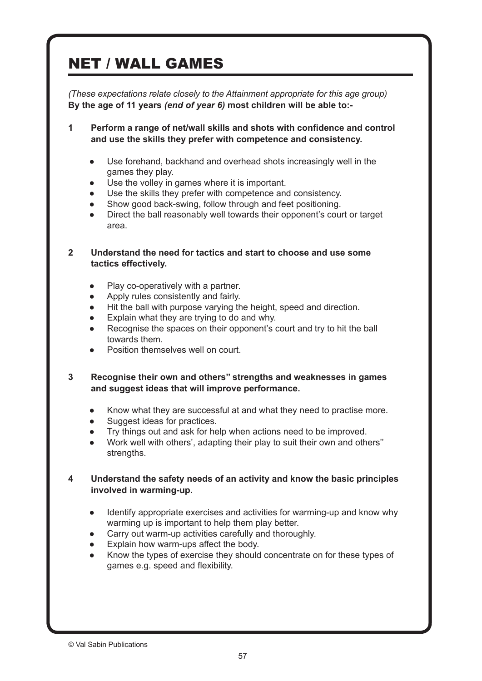# NET / WALL GAMES

*(These expectations relate closely to the Attainment appropriate for this age group)*  **By the age of 11 years** *(end of year 6)* **most children will be able to:-**

**1 Perform a range of net/wall skills and shots with confidence and control and use the skills they prefer with competence and consistency.**

- Use forehand, backhand and overhead shots increasingly well in the games they play.
- Use the volley in games where it is important.
- Use the skills they prefer with competence and consistency.
- Show good back-swing, follow through and feet positioning.
- Direct the ball reasonably well towards their opponent's court or target area.

#### **2 Understand the need for tactics and start to choose and use some tactics effectively.**

- Play co-operatively with a partner.
- Apply rules consistently and fairly.
- Hit the ball with purpose varying the height, speed and direction.
- Explain what they are trying to do and why.
- Recognise the spaces on their opponent's court and try to hit the ball towards them.
- Position themselves well on court.
- **3 Recognise their own and others'' strengths and weaknesses in games and suggest ideas that will improve performance.**
	- Know what they are successful at and what they need to practise more.
	- Suggest ideas for practices.
	- Try things out and ask for help when actions need to be improved.
	- Work well with others', adapting their play to suit their own and others" strengths.

### **4 Understand the safety needs of an activity and know the basic principles involved in warming-up.**

- Identify appropriate exercises and activities for warming-up and know why warming up is important to help them play better.
- Carry out warm-up activities carefully and thoroughly.
- Explain how warm-ups affect the body.
- Know the types of exercise they should concentrate on for these types of games e.g. speed and flexibility.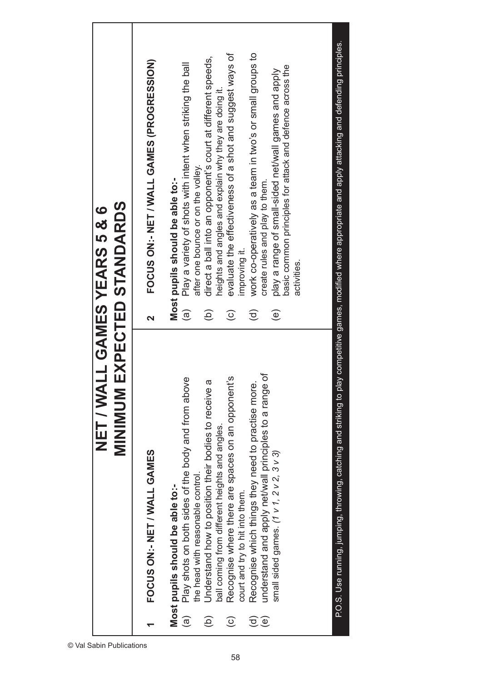| work co-operatively as a team in two's or small groups to<br>evaluate the effectiveness of a shot and suggest ways of<br>direct a ball into an opponent's court at different speeds,<br>FOCUS ON:- NET / WALL GAMES (PROGRESSION)<br>Play a variety of shots with intent when striking the ball<br>basic common principles for attack and defence across the<br>play a range of small-sided net/wall games and apply<br>heights and angles and explain why they are doing it.<br>after one bounce or on the volley.<br>Most pupils should be able to:-<br>create rules and play to them.<br>improving it.<br>activities.<br>$\widehat{\mathbf{e}}$<br>$\overline{e}$<br>$\widehat{\sigma}$<br>$\widehat{e}$<br>$\widehat{c}$<br>$\overline{\mathbf{C}}$<br>understand and apply net/wall principles to a range of<br>Recognise where there are spaces on an opponent's<br>Play shots on both sides of the body and from above<br>ā<br>Recognise which things they need to practise more<br>Understand how to position their bodies to receive<br>ball coming from different heights and angles.<br>small sided games. (1 v 1, 2 v 2, 3 v 3)<br>FOCUS ON:- NET / WALL GAMES<br>the head with reasonable control.<br>Most pupils should be able to:-<br>court and try to hit into them.<br>$\widehat{\mathbf{e}}$<br>$\widehat{e}$<br>$\widehat{c}$<br>$\widehat{\sigma}$<br>$\widehat{\mathbf{e}}$ | <b>MINIMUM EXPECTED STANDARDS</b><br>NET / WALL GAMES YEARS 5 & 6 |  |
|---------------------------------------------------------------------------------------------------------------------------------------------------------------------------------------------------------------------------------------------------------------------------------------------------------------------------------------------------------------------------------------------------------------------------------------------------------------------------------------------------------------------------------------------------------------------------------------------------------------------------------------------------------------------------------------------------------------------------------------------------------------------------------------------------------------------------------------------------------------------------------------------------------------------------------------------------------------------------------------------------------------------------------------------------------------------------------------------------------------------------------------------------------------------------------------------------------------------------------------------------------------------------------------------------------------------------------------------------------------------------------------------------|-------------------------------------------------------------------|--|
|                                                                                                                                                                                                                                                                                                                                                                                                                                                                                                                                                                                                                                                                                                                                                                                                                                                                                                                                                                                                                                                                                                                                                                                                                                                                                                                                                                                                   |                                                                   |  |
|                                                                                                                                                                                                                                                                                                                                                                                                                                                                                                                                                                                                                                                                                                                                                                                                                                                                                                                                                                                                                                                                                                                                                                                                                                                                                                                                                                                                   |                                                                   |  |
|                                                                                                                                                                                                                                                                                                                                                                                                                                                                                                                                                                                                                                                                                                                                                                                                                                                                                                                                                                                                                                                                                                                                                                                                                                                                                                                                                                                                   |                                                                   |  |
|                                                                                                                                                                                                                                                                                                                                                                                                                                                                                                                                                                                                                                                                                                                                                                                                                                                                                                                                                                                                                                                                                                                                                                                                                                                                                                                                                                                                   |                                                                   |  |
|                                                                                                                                                                                                                                                                                                                                                                                                                                                                                                                                                                                                                                                                                                                                                                                                                                                                                                                                                                                                                                                                                                                                                                                                                                                                                                                                                                                                   |                                                                   |  |
|                                                                                                                                                                                                                                                                                                                                                                                                                                                                                                                                                                                                                                                                                                                                                                                                                                                                                                                                                                                                                                                                                                                                                                                                                                                                                                                                                                                                   |                                                                   |  |
|                                                                                                                                                                                                                                                                                                                                                                                                                                                                                                                                                                                                                                                                                                                                                                                                                                                                                                                                                                                                                                                                                                                                                                                                                                                                                                                                                                                                   |                                                                   |  |
|                                                                                                                                                                                                                                                                                                                                                                                                                                                                                                                                                                                                                                                                                                                                                                                                                                                                                                                                                                                                                                                                                                                                                                                                                                                                                                                                                                                                   |                                                                   |  |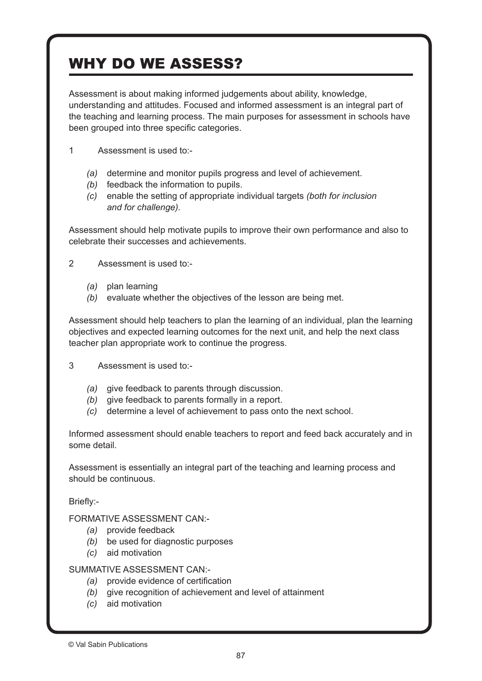# WHY DO WE ASSESS?

Assessment is about making informed judgements about ability, knowledge, understanding and attitudes. Focused and informed assessment is an integral part of the teaching and learning process. The main purposes for assessment in schools have been grouped into three specific categories.

- 1 Assessment is used to:-
	- *(a)* determine and monitor pupils progress and level of achievement.
	- *(b)* feedback the information to pupils.
	- *(c)* enable the setting of appropriate individual targets *(both for inclusion and for challenge).*

Assessment should help motivate pupils to improve their own performance and also to celebrate their successes and achievements.

2 Assessment is used to -

- *(a)* plan learning
- *(b)* evaluate whether the objectives of the lesson are being met.

Assessment should help teachers to plan the learning of an individual, plan the learning objectives and expected learning outcomes for the next unit, and help the next class teacher plan appropriate work to continue the progress.

3 Assessment is used to:-

- *(a)* give feedback to parents through discussion.
- *(b)* give feedback to parents formally in a report.
- *(c)* determine a level of achievement to pass onto the next school.

Informed assessment should enable teachers to report and feed back accurately and in some detail.

Assessment is essentially an integral part of the teaching and learning process and should be continuous.

Briefly:‑

FORMATIVE ASSESSMENT CAN:‑

- *(a)* provide feedback
- *(b)* be used for diagnostic purposes
- *(c)* aid motivation

SUMMATIVE ASSESSMENT CAN:‑

- *(a)* provide evidence of certification
- *(b)* give recognition of achievement and level of attainment
- *(c)* aid motivation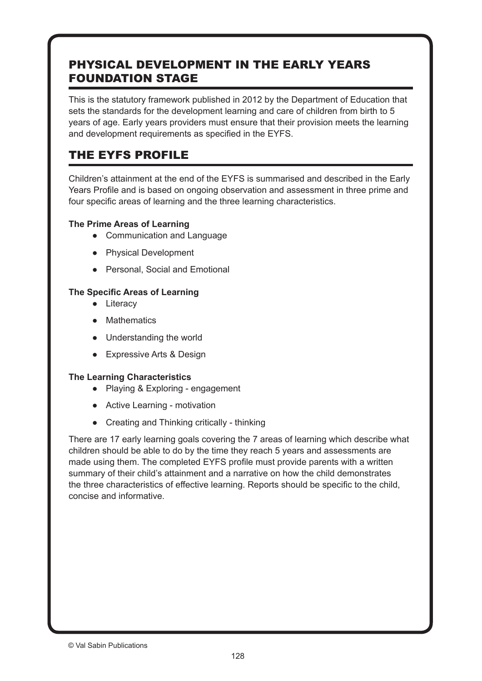### PHYSICAL DEVELOPMENT IN THE EARLY YEARS FOUNDATION STAGE

This is the statutory framework published in 2012 by the Department of Education that sets the standards for the development learning and care of children from birth to 5 years of age. Early years providers must ensure that their provision meets the learning and development requirements as specified in the EYFS.

### THE EYFS PROFILE

Children's attainment at the end of the EYFS is summarised and described in the Early Years Profile and is based on ongoing observation and assessment in three prime and four specific areas of learning and the three learning characteristics.

### **The Prime Areas of Learning**

- Communication and Language
- Physical Development
- Personal, Social and Emotional

### **The Specific Areas of Learning**

- Literacy
- Mathematics
- Understanding the world
- Expressive Arts & Design

### **The Learning Characteristics**

- Playing & Exploring engagement
- Active Learning motivation
- Creating and Thinking critically thinking

There are 17 early learning goals covering the 7 areas of learning which describe what children should be able to do by the time they reach 5 years and assessments are made using them. The completed EYFS profile must provide parents with a written summary of their child's attainment and a narrative on how the child demonstrates the three characteristics of effective learning. Reports should be specific to the child, concise and informative.